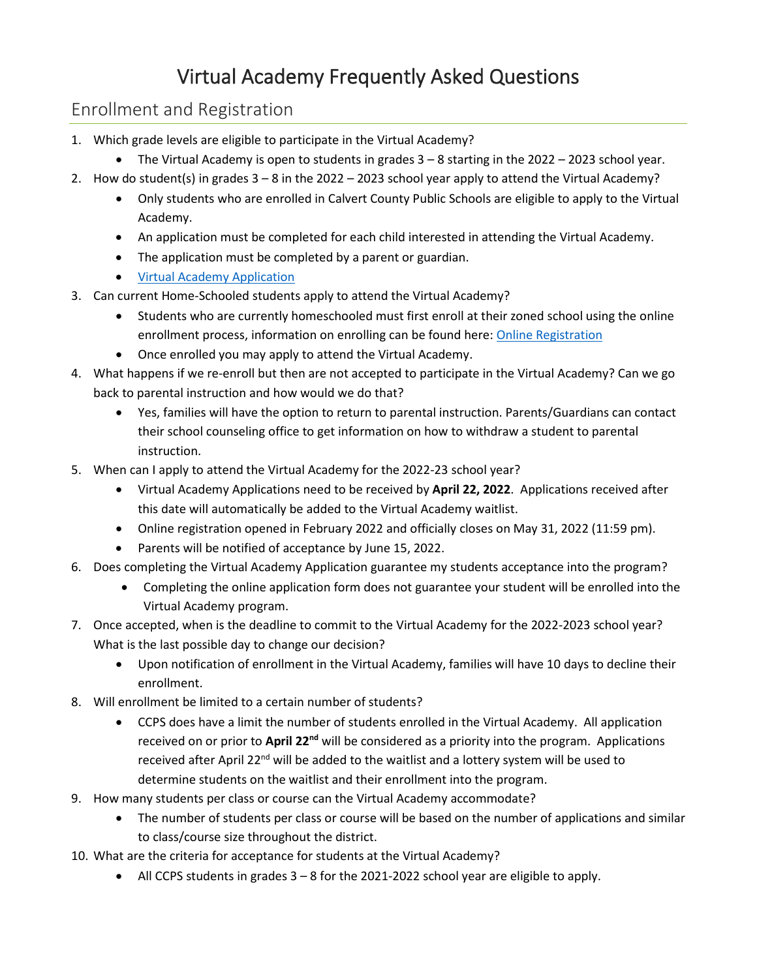# Virtual Academy Frequently Asked Questions

## Enrollment and Registration

- 1. Which grade levels are eligible to participate in the Virtual Academy?
	- The Virtual Academy is open to students in grades 3 8 starting in the 2022 2023 school year.
- 2. How do student(s) in grades 3 8 in the 2022 2023 school year apply to attend the Virtual Academy?
	- Only students who are enrolled in Calvert County Public Schools are eligible to apply to the Virtual Academy.
	- An application must be completed for each child interested in attending the Virtual Academy.
	- The application must be completed by a parent or guardian.
	- [Virtual Academy Application](https://forms.office.com/Pages/ResponsePage.aspx?id=yp8tAqNgrEqakMGOUaxSfj5DN4M-3wlIlJGIq7NCJ5tUQ0ZUUlZUU0lGVzdPVzFRNDRIV1M1Mko3Ri4u)
- 3. Can current Home-Schooled students apply to attend the Virtual Academy?
	- Students who are currently homeschooled must first enroll at their zoned school using the online enrollment process, information on enrolling can be found here[: Online Registration](https://www.calvertnet.k12.md.us/departments/student_services/student_services_program_information/online_registration)
	- Once enrolled you may apply to attend the Virtual Academy.
- 4. What happens if we re-enroll but then are not accepted to participate in the Virtual Academy? Can we go back to parental instruction and how would we do that?
	- Yes, families will have the option to return to parental instruction. Parents/Guardians can contact their school counseling office to get information on how to withdraw a student to parental instruction.
- 5. When can I apply to attend the Virtual Academy for the 2022-23 school year?
	- Virtual Academy Applications need to be received by **April 22, 2022**. Applications received after this date will automatically be added to the Virtual Academy waitlist.
	- Online registration opened in February 2022 and officially closes on May 31, 2022 (11:59 pm).
	- Parents will be notified of acceptance by June 15, 2022.
- 6. Does completing the Virtual Academy Application guarantee my students acceptance into the program?
	- Completing the online application form does not guarantee your student will be enrolled into the Virtual Academy program.
- 7. Once accepted, when is the deadline to commit to the Virtual Academy for the 2022-2023 school year? What is the last possible day to change our decision?
	- Upon notification of enrollment in the Virtual Academy, families will have 10 days to decline their enrollment.
- 8. Will enrollment be limited to a certain number of students?
	- CCPS does have a limit the number of students enrolled in the Virtual Academy. All application received on or prior to **April 22nd** will be considered as a priority into the program. Applications received after April 22<sup>nd</sup> will be added to the waitlist and a lottery system will be used to determine students on the waitlist and their enrollment into the program.
- 9. How many students per class or course can the Virtual Academy accommodate?
	- The number of students per class or course will be based on the number of applications and similar to class/course size throughout the district.
- 10. What are the criteria for acceptance for students at the Virtual Academy?
	- All CCPS students in grades 3 8 for the 2021-2022 school year are eligible to apply.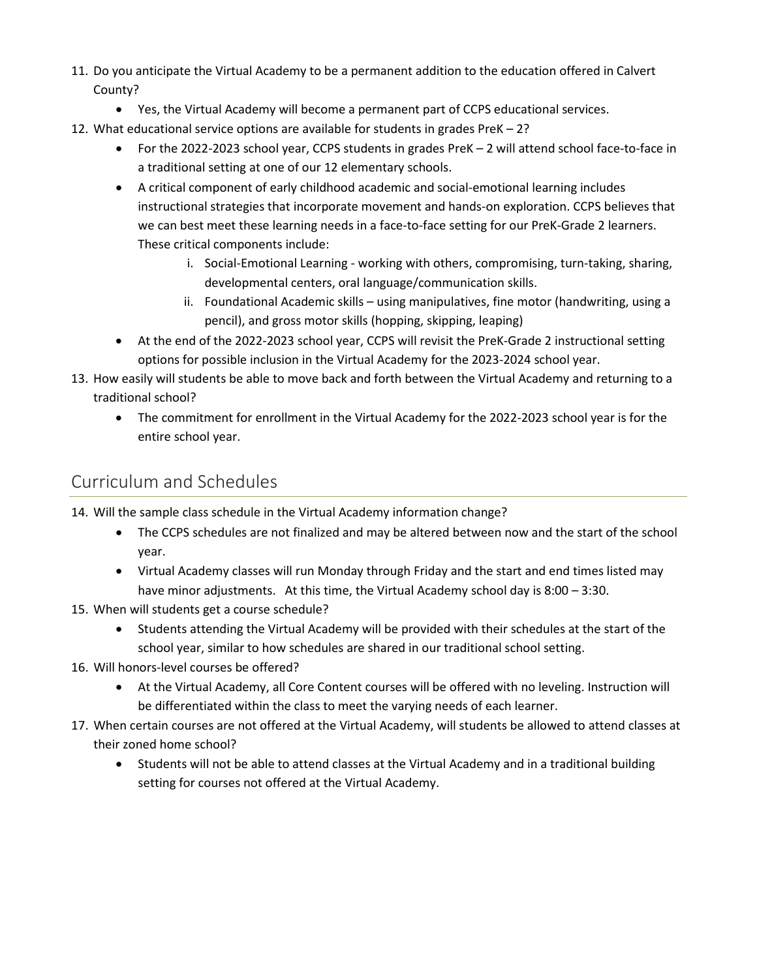- 11. Do you anticipate the Virtual Academy to be a permanent addition to the education offered in Calvert County?
	- Yes, the Virtual Academy will become a permanent part of CCPS educational services.
- 12. What educational service options are available for students in grades PreK 2?
	- For the 2022-2023 school year, CCPS students in grades PreK 2 will attend school face-to-face in a traditional setting at one of our 12 elementary schools.
	- A critical component of early childhood academic and social-emotional learning includes instructional strategies that incorporate movement and hands-on exploration. CCPS believes that we can best meet these learning needs in a face-to-face setting for our PreK-Grade 2 learners. These critical components include:
		- i. Social-Emotional Learning working with others, compromising, turn-taking, sharing, developmental centers, oral language/communication skills.
		- ii. Foundational Academic skills using manipulatives, fine motor (handwriting, using a pencil), and gross motor skills (hopping, skipping, leaping)
	- At the end of the 2022-2023 school year, CCPS will revisit the PreK-Grade 2 instructional setting options for possible inclusion in the Virtual Academy for the 2023-2024 school year.
- 13. How easily will students be able to move back and forth between the Virtual Academy and returning to a traditional school?
	- The commitment for enrollment in the Virtual Academy for the 2022-2023 school year is for the entire school year.

### Curriculum and Schedules

- 14. Will the sample class schedule in the Virtual Academy information change?
	- The CCPS schedules are not finalized and may be altered between now and the start of the school year.
	- Virtual Academy classes will run Monday through Friday and the start and end times listed may have minor adjustments. At this time, the Virtual Academy school day is 8:00 – 3:30.
- 15. When will students get a course schedule?
	- Students attending the Virtual Academy will be provided with their schedules at the start of the school year, similar to how schedules are shared in our traditional school setting.
- 16. Will honors-level courses be offered?
	- At the Virtual Academy, all Core Content courses will be offered with no leveling. Instruction will be differentiated within the class to meet the varying needs of each learner.
- 17. When certain courses are not offered at the Virtual Academy, will students be allowed to attend classes at their zoned home school?
	- Students will not be able to attend classes at the Virtual Academy and in a traditional building setting for courses not offered at the Virtual Academy.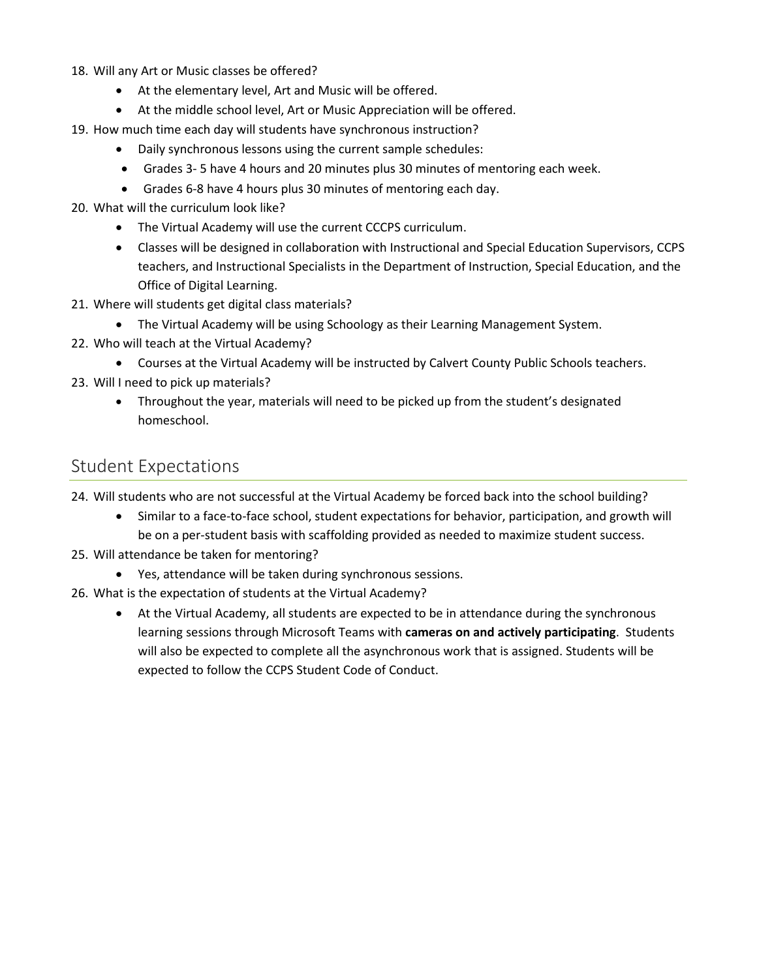18. Will any Art or Music classes be offered?

- At the elementary level, Art and Music will be offered.
- At the middle school level, Art or Music Appreciation will be offered.

19. How much time each day will students have synchronous instruction?

- Daily synchronous lessons using the current sample schedules:
- Grades 3- 5 have 4 hours and 20 minutes plus 30 minutes of mentoring each week.
- Grades 6-8 have 4 hours plus 30 minutes of mentoring each day.
- 20. What will the curriculum look like?
	- The Virtual Academy will use the current CCCPS curriculum.
	- Classes will be designed in collaboration with Instructional and Special Education Supervisors, CCPS teachers, and Instructional Specialists in the Department of Instruction, Special Education, and the Office of Digital Learning.
- 21. Where will students get digital class materials?
	- The Virtual Academy will be using Schoology as their Learning Management System.
- 22. Who will teach at the Virtual Academy?
	- Courses at the Virtual Academy will be instructed by Calvert County Public Schools teachers.
- 23. Will I need to pick up materials?
	- Throughout the year, materials will need to be picked up from the student's designated homeschool.

#### Student Expectations

24. Will students who are not successful at the Virtual Academy be forced back into the school building?

- Similar to a face-to-face school, student expectations for behavior, participation, and growth will be on a per-student basis with scaffolding provided as needed to maximize student success.
- 25. Will attendance be taken for mentoring?
	- Yes, attendance will be taken during synchronous sessions.
- 26. What is the expectation of students at the Virtual Academy?
	- At the Virtual Academy, all students are expected to be in attendance during the synchronous learning sessions through Microsoft Teams with **cameras on and actively participating**. Students will also be expected to complete all the asynchronous work that is assigned. Students will be expected to follow the CCPS Student Code of Conduct.